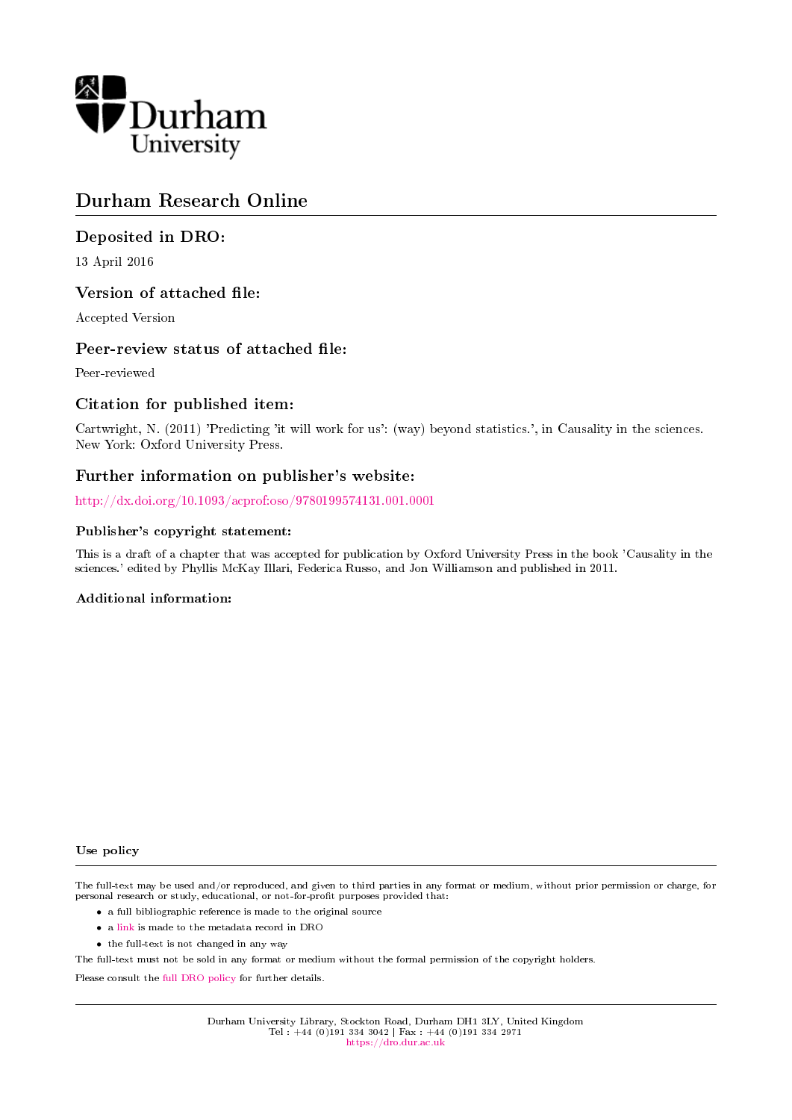

# Durham Research Online

# Deposited in DRO:

13 April 2016

## Version of attached file:

Accepted Version

## Peer-review status of attached file:

Peer-reviewed

# Citation for published item:

Cartwright, N. (2011) 'Predicting 'it will work for us': (way) beyond statistics.', in Causality in the sciences. New York: Oxford University Press.

# Further information on publisher's website:

<http://dx.doi.org/10.1093/acprof:oso/9780199574131.001.0001>

#### Publisher's copyright statement:

This is a draft of a chapter that was accepted for publication by Oxford University Press in the book 'Causality in the sciences.' edited by Phyllis McKay Illari, Federica Russo, and Jon Williamson and published in 2011.

#### Additional information:

Use policy

The full-text may be used and/or reproduced, and given to third parties in any format or medium, without prior permission or charge, for personal research or study, educational, or not-for-profit purposes provided that:

- a full bibliographic reference is made to the original source
- a [link](http://dro.dur.ac.uk/18312/) is made to the metadata record in DRO
- the full-text is not changed in any way

The full-text must not be sold in any format or medium without the formal permission of the copyright holders.

Please consult the [full DRO policy](https://dro.dur.ac.uk/policies/usepolicy.pdf) for further details.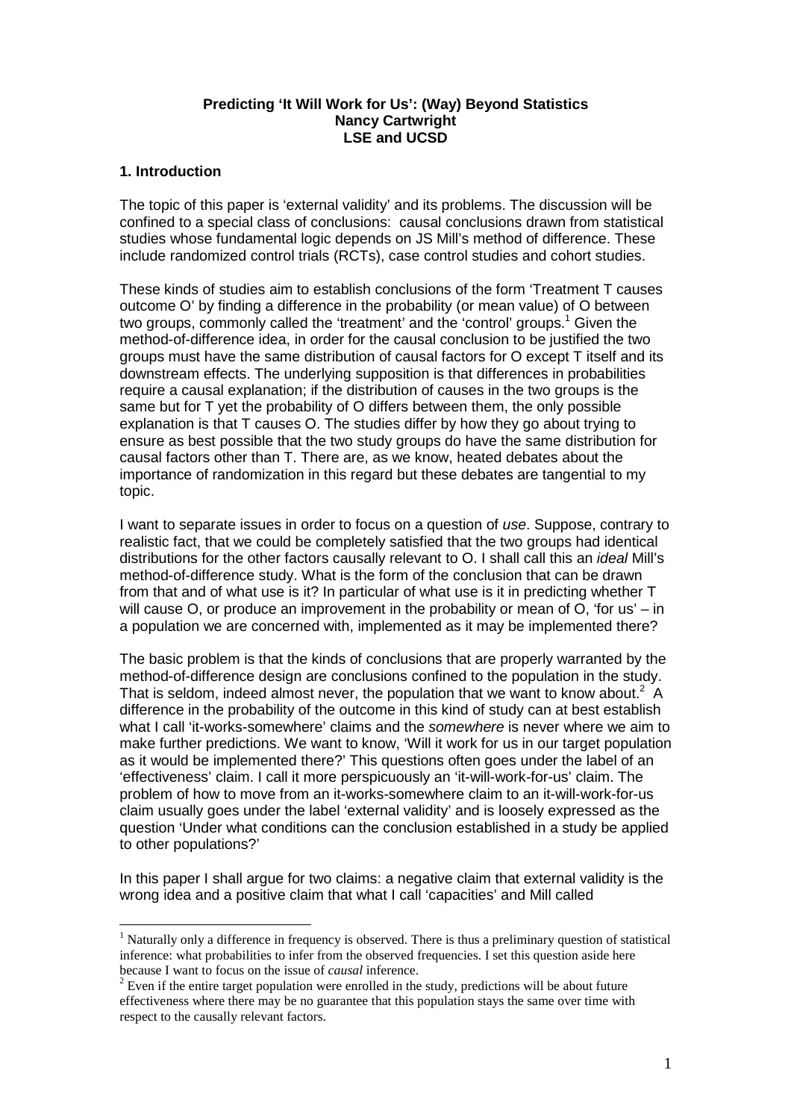### **Predicting 'It Will Work for Us': (Way) Beyond Statistics Nancy Cartwright LSE and UCSD**

## **1. Introduction**

 $\overline{a}$ 

The topic of this paper is 'external validity' and its problems. The discussion will be confined to a special class of conclusions: causal conclusions drawn from statistical studies whose fundamental logic depends on JS Mill's method of difference. These include randomized control trials (RCTs), case control studies and cohort studies.

These kinds of studies aim to establish conclusions of the form 'Treatment T causes outcome O' by finding a difference in the probability (or mean value) of O between two groups, commonly called the 'treatment' and the 'control' groups.<sup>1</sup> Given the method-of-difference idea, in order for the causal conclusion to be justified the two groups must have the same distribution of causal factors for O except T itself and its downstream effects. The underlying supposition is that differences in probabilities require a causal explanation; if the distribution of causes in the two groups is the same but for T yet the probability of O differs between them, the only possible explanation is that T causes O. The studies differ by how they go about trying to ensure as best possible that the two study groups do have the same distribution for causal factors other than T. There are, as we know, heated debates about the importance of randomization in this regard but these debates are tangential to my topic.

I want to separate issues in order to focus on a question of use. Suppose, contrary to realistic fact, that we could be completely satisfied that the two groups had identical distributions for the other factors causally relevant to O. I shall call this an *ideal* Mill's method-of-difference study. What is the form of the conclusion that can be drawn from that and of what use is it? In particular of what use is it in predicting whether T will cause O, or produce an improvement in the probability or mean of O, 'for us' – in a population we are concerned with, implemented as it may be implemented there?

The basic problem is that the kinds of conclusions that are properly warranted by the method-of-difference design are conclusions confined to the population in the study. That is seldom, indeed almost never, the population that we want to know about.<sup>2</sup> A difference in the probability of the outcome in this kind of study can at best establish what I call 'it-works-somewhere' claims and the *somewhere* is never where we aim to make further predictions. We want to know, 'Will it work for us in our target population as it would be implemented there?' This questions often goes under the label of an 'effectiveness' claim. I call it more perspicuously an 'it-will-work-for-us' claim. The problem of how to move from an it-works-somewhere claim to an it-will-work-for-us claim usually goes under the label 'external validity' and is loosely expressed as the question 'Under what conditions can the conclusion established in a study be applied to other populations?'

In this paper I shall argue for two claims: a negative claim that external validity is the wrong idea and a positive claim that what I call 'capacities' and Mill called

<sup>&</sup>lt;sup>1</sup> Naturally only a difference in frequency is observed. There is thus a preliminary question of statistical inference: what probabilities to infer from the observed frequencies. I set this question aside here because I want to focus on the issue of *causal* inference.

 $2^{2}$  Even if the entire target population were enrolled in the study, predictions will be about future effectiveness where there may be no guarantee that this population stays the same over time with respect to the causally relevant factors.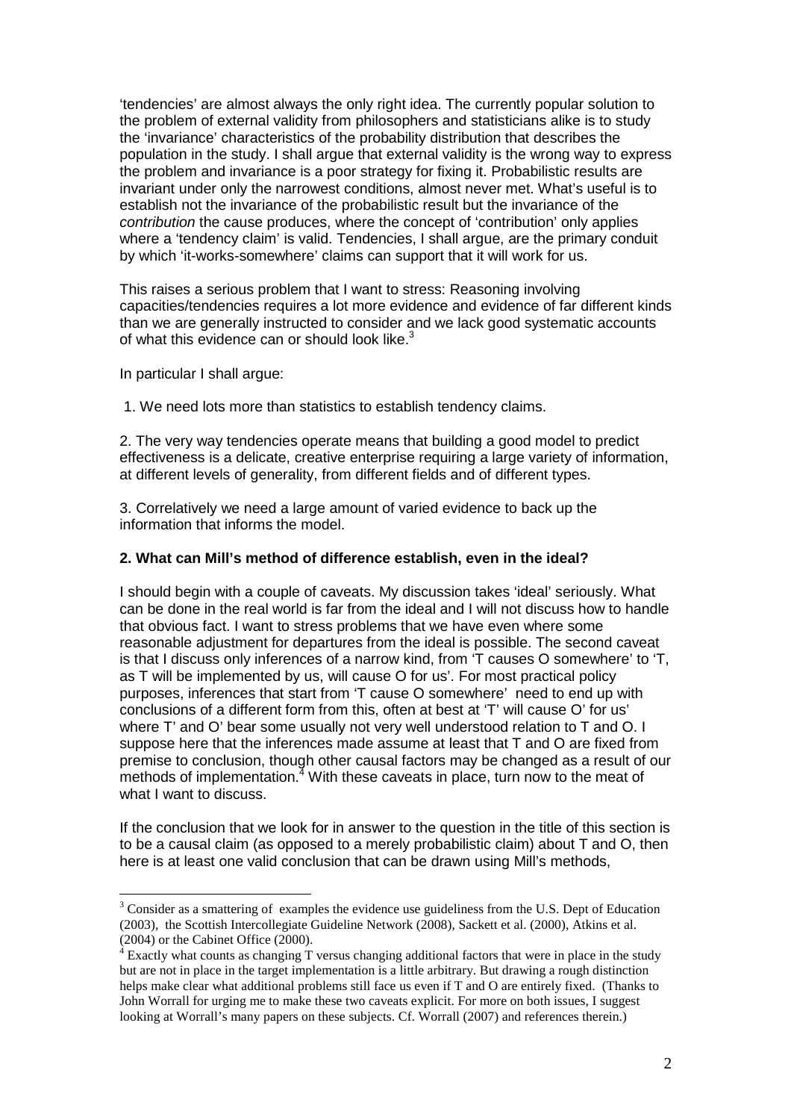'tendencies' are almost always the only right idea. The currently popular solution to the problem of external validity from philosophers and statisticians alike is to study the 'invariance' characteristics of the probability distribution that describes the population in the study. I shall argue that external validity is the wrong way to express the problem and invariance is a poor strategy for fixing it. Probabilistic results are invariant under only the narrowest conditions, almost never met. What's useful is to establish not the invariance of the probabilistic result but the invariance of the contribution the cause produces, where the concept of 'contribution' only applies where a 'tendency claim' is valid. Tendencies, I shall argue, are the primary conduit by which 'it-works-somewhere' claims can support that it will work for us.

This raises a serious problem that I want to stress: Reasoning involving capacities/tendencies requires a lot more evidence and evidence of far different kinds than we are generally instructed to consider and we lack good systematic accounts of what this evidence can or should look like. $3$ 

In particular I shall argue:

 $\overline{a}$ 

1. We need lots more than statistics to establish tendency claims.

2. The very way tendencies operate means that building a good model to predict effectiveness is a delicate, creative enterprise requiring a large variety of information, at different levels of generality, from different fields and of different types.

3. Correlatively we need a large amount of varied evidence to back up the information that informs the model.

# **2. What can Mill's method of difference establish, even in the ideal?**

I should begin with a couple of caveats. My discussion takes 'ideal' seriously. What can be done in the real world is far from the ideal and I will not discuss how to handle that obvious fact. I want to stress problems that we have even where some reasonable adjustment for departures from the ideal is possible. The second caveat is that I discuss only inferences of a narrow kind, from 'T causes O somewhere' to 'T, as T will be implemented by us, will cause O for us'. For most practical policy purposes, inferences that start from 'T cause O somewhere' need to end up with conclusions of a different form from this, often at best at 'T' will cause O' for us' where T' and O' bear some usually not very well understood relation to T and O. I suppose here that the inferences made assume at least that T and O are fixed from premise to conclusion, though other causal factors may be changed as a result of our methods of implementation. $4$  With these caveats in place, turn now to the meat of what I want to discuss.

If the conclusion that we look for in answer to the question in the title of this section is to be a causal claim (as opposed to a merely probabilistic claim) about T and O, then here is at least one valid conclusion that can be drawn using Mill's methods,

 $3^3$  Consider as a smattering of examples the evidence use guideliness from the U.S. Dept of Education (2003), the Scottish Intercollegiate Guideline Network (2008), Sackett et al. (2000), Atkins et al. (2004) or the Cabinet Office (2000).

<sup>4</sup> Exactly what counts as changing T versus changing additional factors that were in place in the study but are not in place in the target implementation is a little arbitrary. But drawing a rough distinction helps make clear what additional problems still face us even if T and O are entirely fixed. (Thanks to John Worrall for urging me to make these two caveats explicit. For more on both issues, I suggest looking at Worrall's many papers on these subjects. Cf. Worrall (2007) and references therein.)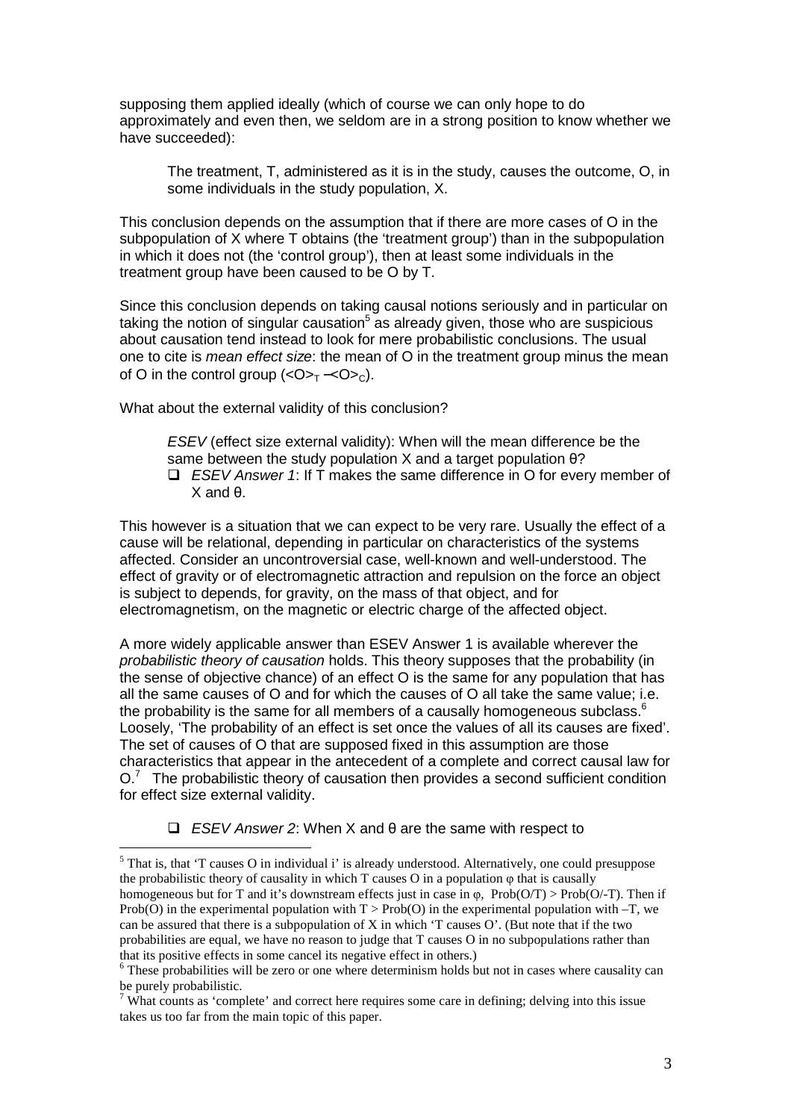supposing them applied ideally (which of course we can only hope to do approximately and even then, we seldom are in a strong position to know whether we have succeeded):

The treatment, T, administered as it is in the study, causes the outcome, O, in some individuals in the study population, X.

This conclusion depends on the assumption that if there are more cases of O in the subpopulation of X where T obtains (the 'treatment group') than in the subpopulation in which it does not (the 'control group'), then at least some individuals in the treatment group have been caused to be O by T.

Since this conclusion depends on taking causal notions seriously and in particular on taking the notion of singular causation<sup>5</sup> as already given, those who are suspicious about causation tend instead to look for mere probabilistic conclusions. The usual one to cite is mean effect size: the mean of O in the treatment group minus the mean of O in the control group  $(<)0>-\frac{1}{2}$  – $<$ O $>$ c).

What about the external validity of this conclusion?

 $\overline{a}$ 

ESEV (effect size external validity): When will the mean difference be the same between the study population X and a target population θ?

 $\Box$  ESEV Answer 1: If T makes the same difference in O for every member of X and θ.

This however is a situation that we can expect to be very rare. Usually the effect of a cause will be relational, depending in particular on characteristics of the systems affected. Consider an uncontroversial case, well-known and well-understood. The effect of gravity or of electromagnetic attraction and repulsion on the force an object is subject to depends, for gravity, on the mass of that object, and for electromagnetism, on the magnetic or electric charge of the affected object.

A more widely applicable answer than ESEV Answer 1 is available wherever the probabilistic theory of causation holds. This theory supposes that the probability (in the sense of objective chance) of an effect O is the same for any population that has all the same causes of O and for which the causes of O all take the same value; i.e. the probability is the same for all members of a causally homogeneous subclass. $6\%$ Loosely, 'The probability of an effect is set once the values of all its causes are fixed'. The set of causes of O that are supposed fixed in this assumption are those characteristics that appear in the antecedent of a complete and correct causal law for  $O<sup>7</sup>$  The probabilistic theory of causation then provides a second sufficient condition for effect size external validity.

 $\Box$  ESEV Answer 2: When X and θ are the same with respect to

<sup>&</sup>lt;sup>5</sup> That is, that 'T causes O in individual i' is already understood. Alternatively, one could presuppose the probabilistic theory of causality in which  $T$  causes  $O$  in a population  $\varphi$  that is causally homogeneous but for T and it's downstream effects just in case in  $\varphi$ , Prob(O/T) > Prob(O/-T). Then if Prob(O) in the experimental population with  $T > Prob(O)$  in the experimental population with  $-T$ , we can be assured that there is a subpopulation of X in which 'T causes O'. (But note that if the two probabilities are equal, we have no reason to judge that T causes O in no subpopulations rather than that its positive effects in some cancel its negative effect in others.)

<sup>&</sup>lt;sup>6</sup> These probabilities will be zero or one where determinism holds but not in cases where causality can be purely probabilistic.

 $7$  What counts as 'complete' and correct here requires some care in defining; delving into this issue takes us too far from the main topic of this paper.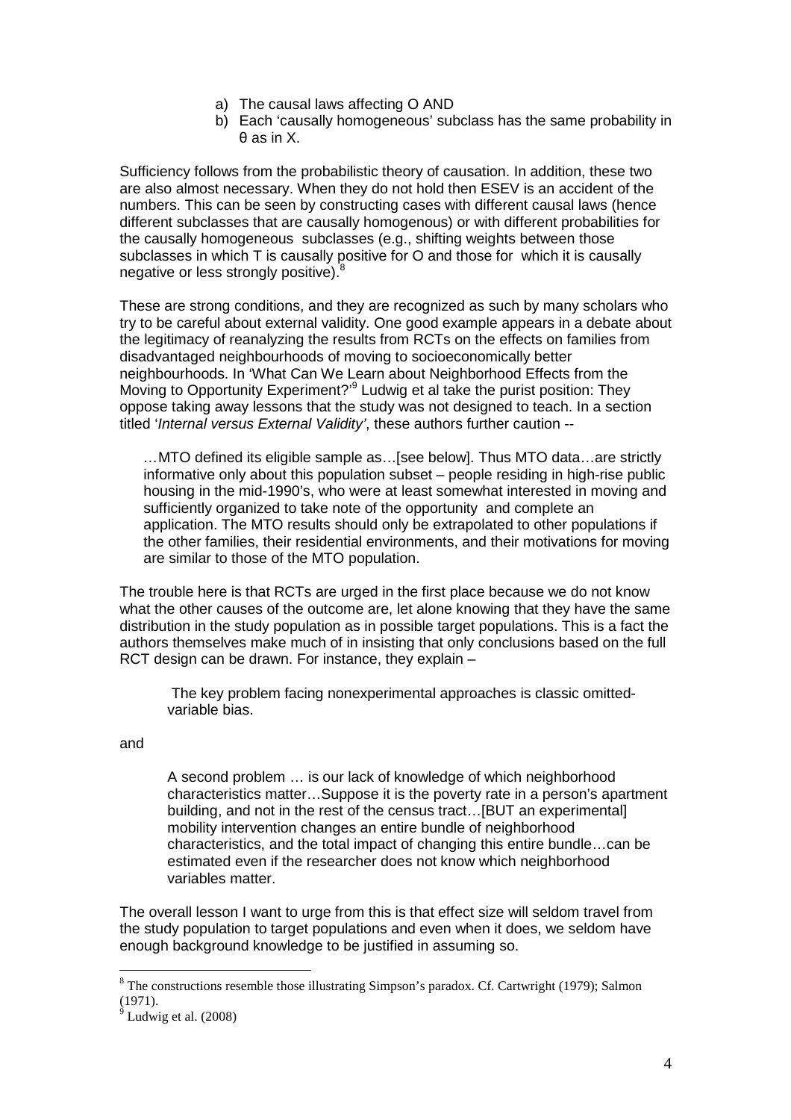- a) The causal laws affecting O AND
- b) Each 'causally homogeneous' subclass has the same probability in θ as in X.

Sufficiency follows from the probabilistic theory of causation. In addition, these two are also almost necessary. When they do not hold then ESEV is an accident of the numbers. This can be seen by constructing cases with different causal laws (hence different subclasses that are causally homogenous) or with different probabilities for the causally homogeneous subclasses (e.g., shifting weights between those subclasses in which T is causally positive for O and those for which it is causally negative or less strongly positive).<sup>8</sup>

These are strong conditions, and they are recognized as such by many scholars who try to be careful about external validity. One good example appears in a debate about the legitimacy of reanalyzing the results from RCTs on the effects on families from disadvantaged neighbourhoods of moving to socioeconomically better neighbourhoods. In 'What Can We Learn about Neighborhood Effects from the Moving to Opportunity Experiment?<sup>,9</sup> Ludwig et al take the purist position: They oppose taking away lessons that the study was not designed to teach. In a section titled 'Internal versus External Validity', these authors further caution --

…MTO defined its eligible sample as…[see below]. Thus MTO data…are strictly informative only about this population subset – people residing in high-rise public housing in the mid-1990's, who were at least somewhat interested in moving and sufficiently organized to take note of the opportunity and complete an application. The MTO results should only be extrapolated to other populations if the other families, their residential environments, and their motivations for moving are similar to those of the MTO population.

The trouble here is that RCTs are urged in the first place because we do not know what the other causes of the outcome are, let alone knowing that they have the same distribution in the study population as in possible target populations. This is a fact the authors themselves make much of in insisting that only conclusions based on the full RCT design can be drawn. For instance, they explain –

 The key problem facing nonexperimental approaches is classic omittedvariable bias.

and

 $\overline{a}$ 

A second problem … is our lack of knowledge of which neighborhood characteristics matter…Suppose it is the poverty rate in a person's apartment building, and not in the rest of the census tract…[BUT an experimental] mobility intervention changes an entire bundle of neighborhood characteristics, and the total impact of changing this entire bundle…can be estimated even if the researcher does not know which neighborhood variables matter.

The overall lesson I want to urge from this is that effect size will seldom travel from the study population to target populations and even when it does, we seldom have enough background knowledge to be justified in assuming so.

 $8$  The constructions resemble those illustrating Simpson's paradox. Cf. Cartwright (1979); Salmon (1971).

<sup>9</sup> Ludwig et al. (2008)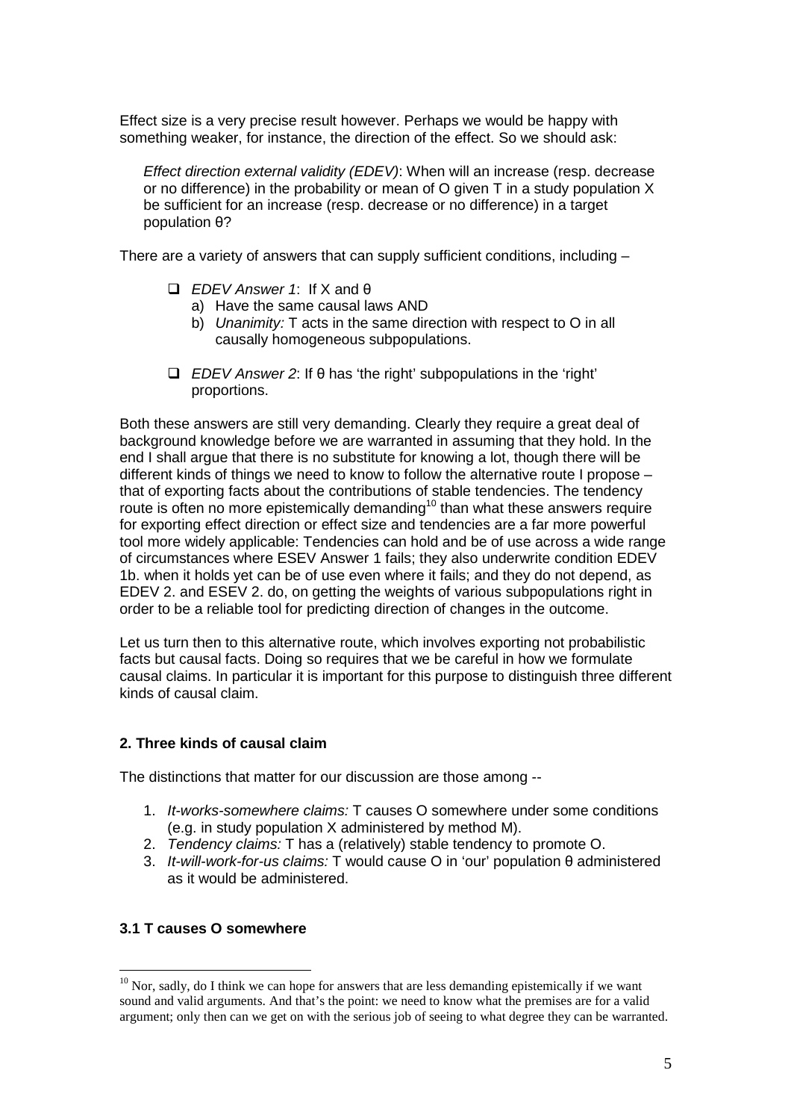Effect size is a very precise result however. Perhaps we would be happy with something weaker, for instance, the direction of the effect. So we should ask:

Effect direction external validity (EDEV): When will an increase (resp. decrease or no difference) in the probability or mean of O given T in a study population X be sufficient for an increase (resp. decrease or no difference) in a target population θ?

There are a variety of answers that can supply sufficient conditions, including –

- EDEV Answer 1: If X and θ
	- a) Have the same causal laws AND
	- b) Unanimity: T acts in the same direction with respect to O in all causally homogeneous subpopulations.
- $\Box$  EDEV Answer 2: If  $\theta$  has 'the right' subpopulations in the 'right' proportions.

Both these answers are still very demanding. Clearly they require a great deal of background knowledge before we are warranted in assuming that they hold. In the end I shall argue that there is no substitute for knowing a lot, though there will be different kinds of things we need to know to follow the alternative route I propose – that of exporting facts about the contributions of stable tendencies. The tendency route is often no more epistemically demanding<sup>10</sup> than what these answers require for exporting effect direction or effect size and tendencies are a far more powerful tool more widely applicable: Tendencies can hold and be of use across a wide range of circumstances where ESEV Answer 1 fails; they also underwrite condition EDEV 1b. when it holds yet can be of use even where it fails; and they do not depend, as EDEV 2. and ESEV 2. do, on getting the weights of various subpopulations right in order to be a reliable tool for predicting direction of changes in the outcome.

Let us turn then to this alternative route, which involves exporting not probabilistic facts but causal facts. Doing so requires that we be careful in how we formulate causal claims. In particular it is important for this purpose to distinguish three different kinds of causal claim.

## **2. Three kinds of causal claim**

The distinctions that matter for our discussion are those among --

- 1. It-works-somewhere claims: T causes O somewhere under some conditions (e.g. in study population X administered by method M).
- 2. Tendency claims: T has a (relatively) stable tendency to promote O.
- 3. It-will-work-for-us claims: T would cause O in 'our' population θ administered as it would be administered.

## **3.1 T causes O somewhere**

 $10$  Nor, sadly, do I think we can hope for answers that are less demanding epistemically if we want sound and valid arguments. And that's the point: we need to know what the premises are for a valid argument; only then can we get on with the serious job of seeing to what degree they can be warranted.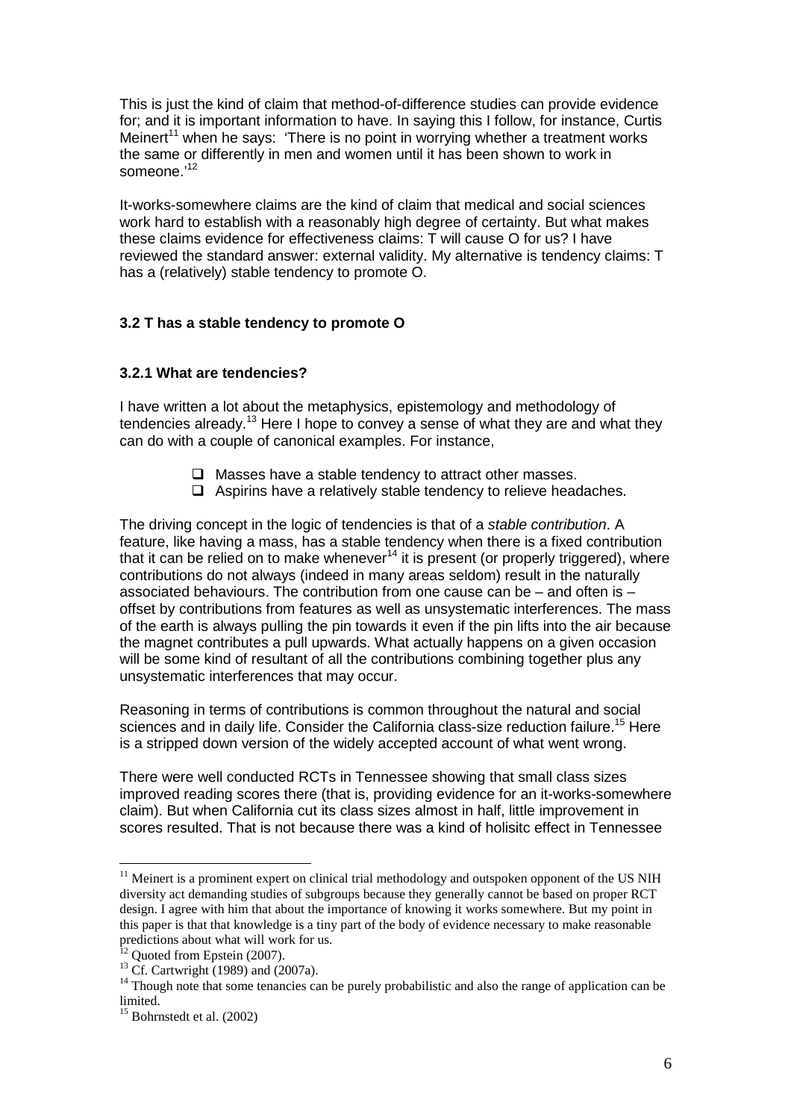This is just the kind of claim that method-of-difference studies can provide evidence for; and it is important information to have. In saying this I follow, for instance, Curtis Meinert<sup>11</sup> when he says: 'There is no point in worrying whether a treatment works the same or differently in men and women until it has been shown to work in someone.'<sup>12</sup>

It-works-somewhere claims are the kind of claim that medical and social sciences work hard to establish with a reasonably high degree of certainty. But what makes these claims evidence for effectiveness claims: T will cause O for us? I have reviewed the standard answer: external validity. My alternative is tendency claims: T has a (relatively) stable tendency to promote O.

# **3.2 T has a stable tendency to promote O**

## **3.2.1 What are tendencies?**

I have written a lot about the metaphysics, epistemology and methodology of tendencies already.<sup>13</sup> Here I hope to convey a sense of what they are and what they can do with a couple of canonical examples. For instance,

- $\Box$  Masses have a stable tendency to attract other masses.
- $\Box$  Aspirins have a relatively stable tendency to relieve headaches.

The driving concept in the logic of tendencies is that of a stable contribution. A feature, like having a mass, has a stable tendency when there is a fixed contribution that it can be relied on to make whenever<sup>14</sup> it is present (or properly triggered), where contributions do not always (indeed in many areas seldom) result in the naturally associated behaviours. The contribution from one cause can be – and often is – offset by contributions from features as well as unsystematic interferences. The mass of the earth is always pulling the pin towards it even if the pin lifts into the air because the magnet contributes a pull upwards. What actually happens on a given occasion will be some kind of resultant of all the contributions combining together plus any unsystematic interferences that may occur.

Reasoning in terms of contributions is common throughout the natural and social sciences and in daily life. Consider the California class-size reduction failure.<sup>15</sup> Here is a stripped down version of the widely accepted account of what went wrong.

There were well conducted RCTs in Tennessee showing that small class sizes improved reading scores there (that is, providing evidence for an it-works-somewhere claim). But when California cut its class sizes almost in half, little improvement in scores resulted. That is not because there was a kind of holisitc effect in Tennessee

<sup>&</sup>lt;sup>11</sup> Meinert is a prominent expert on clinical trial methodology and outspoken opponent of the US NIH diversity act demanding studies of subgroups because they generally cannot be based on proper RCT design. I agree with him that about the importance of knowing it works somewhere. But my point in this paper is that that knowledge is a tiny part of the body of evidence necessary to make reasonable predictions about what will work for us.

 $12$  Quoted from Epstein (2007).

 $^{13}$  Cf. Cartwright (1989) and (2007a).

<sup>&</sup>lt;sup>14</sup> Though note that some tenancies can be purely probabilistic and also the range of application can be limited.

<sup>&</sup>lt;sup>15</sup> Bohrnstedt et al. (2002)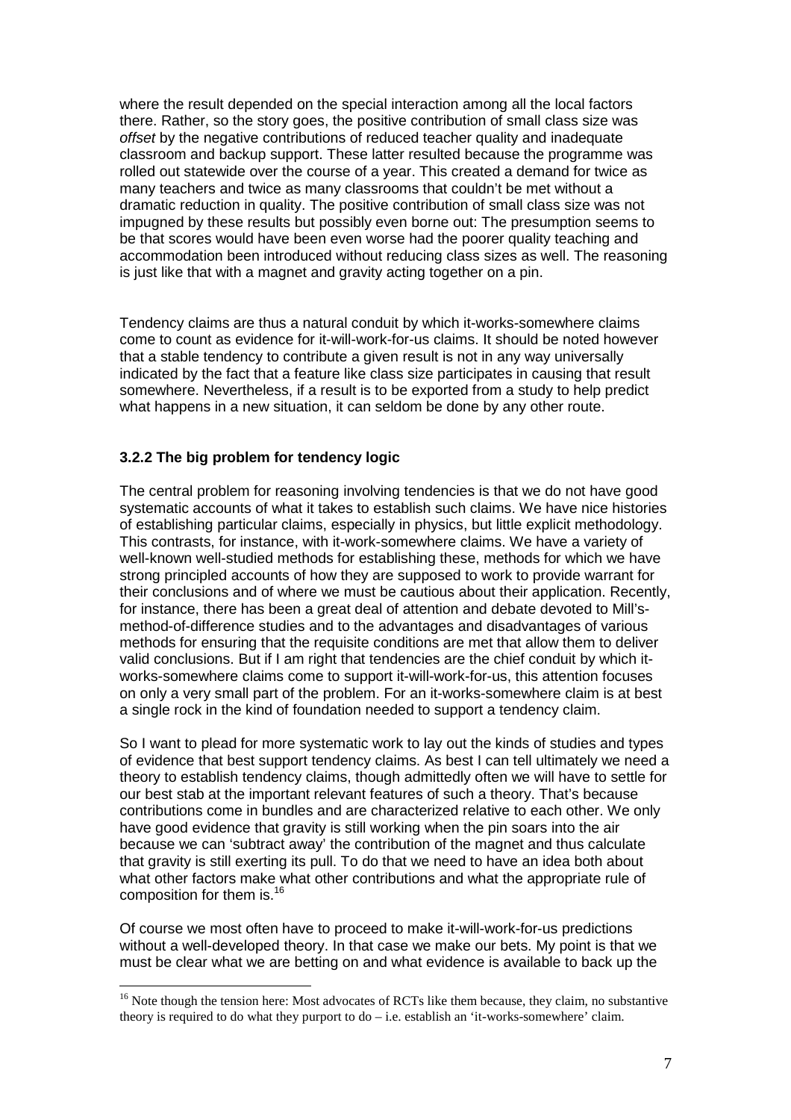where the result depended on the special interaction among all the local factors there. Rather, so the story goes, the positive contribution of small class size was offset by the negative contributions of reduced teacher quality and inadequate classroom and backup support. These latter resulted because the programme was rolled out statewide over the course of a year. This created a demand for twice as many teachers and twice as many classrooms that couldn't be met without a dramatic reduction in quality. The positive contribution of small class size was not impugned by these results but possibly even borne out: The presumption seems to be that scores would have been even worse had the poorer quality teaching and accommodation been introduced without reducing class sizes as well. The reasoning is just like that with a magnet and gravity acting together on a pin.

Tendency claims are thus a natural conduit by which it-works-somewhere claims come to count as evidence for it-will-work-for-us claims. It should be noted however that a stable tendency to contribute a given result is not in any way universally indicated by the fact that a feature like class size participates in causing that result somewhere. Nevertheless, if a result is to be exported from a study to help predict what happens in a new situation, it can seldom be done by any other route.

# **3.2.2 The big problem for tendency logic**

 $\overline{a}$ 

The central problem for reasoning involving tendencies is that we do not have good systematic accounts of what it takes to establish such claims. We have nice histories of establishing particular claims, especially in physics, but little explicit methodology. This contrasts, for instance, with it-work-somewhere claims. We have a variety of well-known well-studied methods for establishing these, methods for which we have strong principled accounts of how they are supposed to work to provide warrant for their conclusions and of where we must be cautious about their application. Recently, for instance, there has been a great deal of attention and debate devoted to Mill'smethod-of-difference studies and to the advantages and disadvantages of various methods for ensuring that the requisite conditions are met that allow them to deliver valid conclusions. But if I am right that tendencies are the chief conduit by which itworks-somewhere claims come to support it-will-work-for-us, this attention focuses on only a very small part of the problem. For an it-works-somewhere claim is at best a single rock in the kind of foundation needed to support a tendency claim.

So I want to plead for more systematic work to lay out the kinds of studies and types of evidence that best support tendency claims. As best I can tell ultimately we need a theory to establish tendency claims, though admittedly often we will have to settle for our best stab at the important relevant features of such a theory. That's because contributions come in bundles and are characterized relative to each other. We only have good evidence that gravity is still working when the pin soars into the air because we can 'subtract away' the contribution of the magnet and thus calculate that gravity is still exerting its pull. To do that we need to have an idea both about what other factors make what other contributions and what the appropriate rule of composition for them is. $16$ 

Of course we most often have to proceed to make it-will-work-for-us predictions without a well-developed theory. In that case we make our bets. My point is that we must be clear what we are betting on and what evidence is available to back up the

<sup>&</sup>lt;sup>16</sup> Note though the tension here: Most advocates of RCTs like them because, they claim, no substantive theory is required to do what they purport to  $do$  – i.e. establish an 'it-works-somewhere' claim.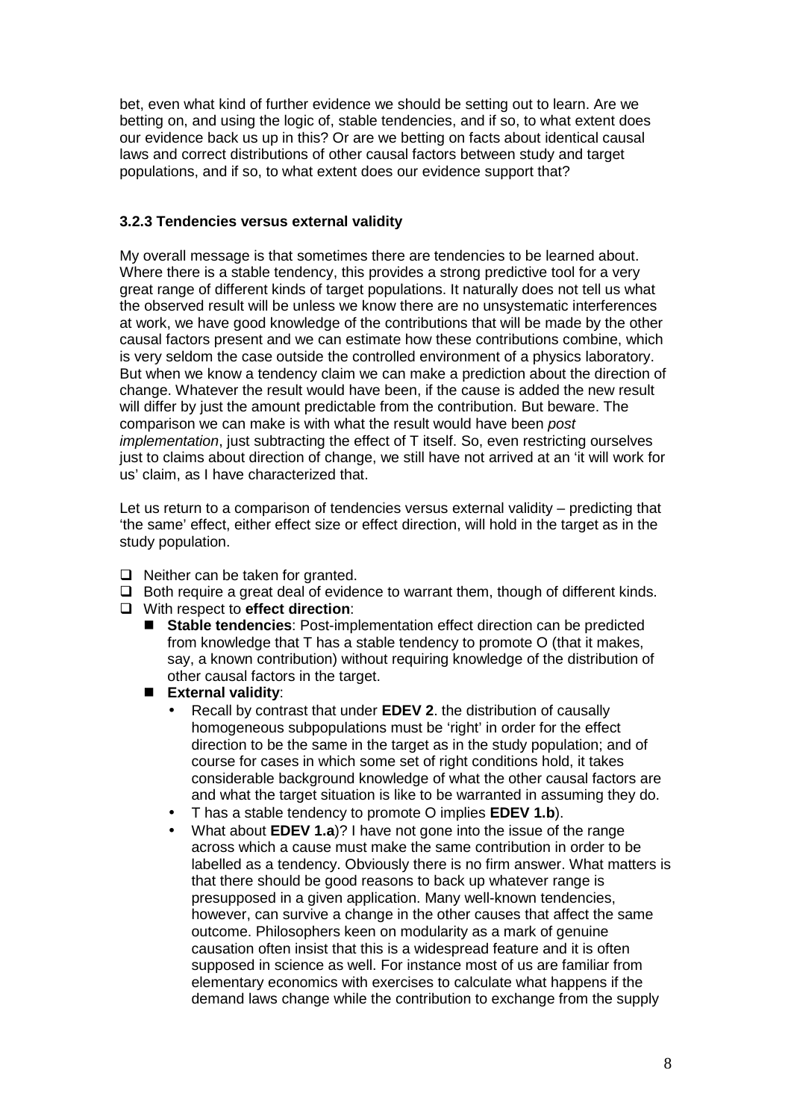bet, even what kind of further evidence we should be setting out to learn. Are we betting on, and using the logic of, stable tendencies, and if so, to what extent does our evidence back us up in this? Or are we betting on facts about identical causal laws and correct distributions of other causal factors between study and target populations, and if so, to what extent does our evidence support that?

# **3.2.3 Tendencies versus external validity**

My overall message is that sometimes there are tendencies to be learned about. Where there is a stable tendency, this provides a strong predictive tool for a very great range of different kinds of target populations. It naturally does not tell us what the observed result will be unless we know there are no unsystematic interferences at work, we have good knowledge of the contributions that will be made by the other causal factors present and we can estimate how these contributions combine, which is very seldom the case outside the controlled environment of a physics laboratory. But when we know a tendency claim we can make a prediction about the direction of change. Whatever the result would have been, if the cause is added the new result will differ by just the amount predictable from the contribution. But beware. The comparison we can make is with what the result would have been post implementation, just subtracting the effect of T itself. So, even restricting ourselves just to claims about direction of change, we still have not arrived at an 'it will work for us' claim, as I have characterized that.

Let us return to a comparison of tendencies versus external validity – predicting that 'the same' effect, either effect size or effect direction, will hold in the target as in the study population.

- $\Box$  Neither can be taken for granted.
- $\Box$  Both require a great deal of evidence to warrant them, though of different kinds.
- With respect to **effect direction**:
	- - **Stable tendencies**: Post-implementation effect direction can be predicted from knowledge that T has a stable tendency to promote O (that it makes, say, a known contribution) without requiring knowledge of the distribution of other causal factors in the target.
	- **External validity:** 
		- Recall by contrast that under **EDEV 2**. the distribution of causally homogeneous subpopulations must be 'right' in order for the effect direction to be the same in the target as in the study population; and of course for cases in which some set of right conditions hold, it takes considerable background knowledge of what the other causal factors are and what the target situation is like to be warranted in assuming they do.
		- T has a stable tendency to promote O implies **EDEV 1.b**).
		- What about **EDEV 1.a**)? I have not gone into the issue of the range across which a cause must make the same contribution in order to be labelled as a tendency. Obviously there is no firm answer. What matters is that there should be good reasons to back up whatever range is presupposed in a given application. Many well-known tendencies, however, can survive a change in the other causes that affect the same outcome. Philosophers keen on modularity as a mark of genuine causation often insist that this is a widespread feature and it is often supposed in science as well. For instance most of us are familiar from elementary economics with exercises to calculate what happens if the demand laws change while the contribution to exchange from the supply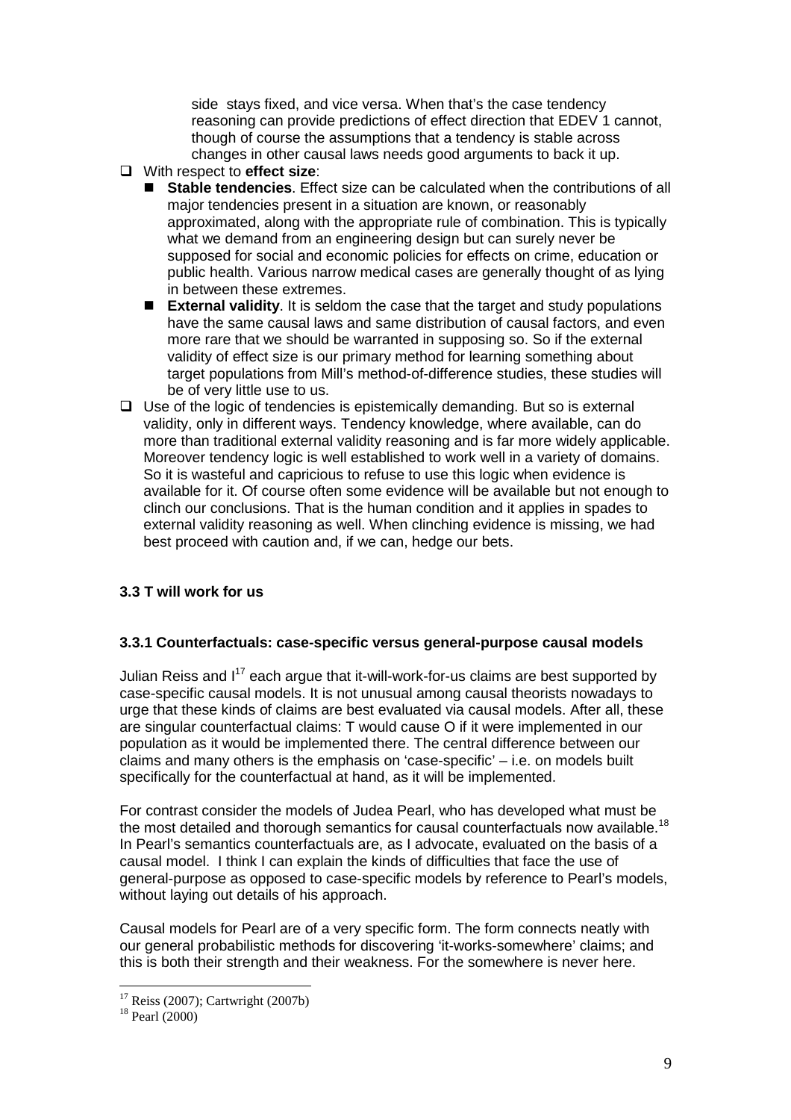side stays fixed, and vice versa. When that's the case tendency reasoning can provide predictions of effect direction that EDEV 1 cannot, though of course the assumptions that a tendency is stable across changes in other causal laws needs good arguments to back it up.

- With respect to **effect size**:
	- - **Stable tendencies**. Effect size can be calculated when the contributions of all major tendencies present in a situation are known, or reasonably approximated, along with the appropriate rule of combination. This is typically what we demand from an engineering design but can surely never be supposed for social and economic policies for effects on crime, education or public health. Various narrow medical cases are generally thought of as lying in between these extremes.
	- - **External validity**. It is seldom the case that the target and study populations have the same causal laws and same distribution of causal factors, and even more rare that we should be warranted in supposing so. So if the external validity of effect size is our primary method for learning something about target populations from Mill's method-of-difference studies, these studies will be of very little use to us.
- $\Box$  Use of the logic of tendencies is epistemically demanding. But so is external validity, only in different ways. Tendency knowledge, where available, can do more than traditional external validity reasoning and is far more widely applicable. Moreover tendency logic is well established to work well in a variety of domains. So it is wasteful and capricious to refuse to use this logic when evidence is available for it. Of course often some evidence will be available but not enough to clinch our conclusions. That is the human condition and it applies in spades to external validity reasoning as well. When clinching evidence is missing, we had best proceed with caution and, if we can, hedge our bets.

## **3.3 T will work for us**

## **3.3.1 Counterfactuals: case-specific versus general-purpose causal models**

Julian Reiss and  $I<sup>17</sup>$  each argue that it-will-work-for-us claims are best supported by case-specific causal models. It is not unusual among causal theorists nowadays to urge that these kinds of claims are best evaluated via causal models. After all, these are singular counterfactual claims: T would cause O if it were implemented in our population as it would be implemented there. The central difference between our claims and many others is the emphasis on 'case-specific' – i.e. on models built specifically for the counterfactual at hand, as it will be implemented.

For contrast consider the models of Judea Pearl, who has developed what must be the most detailed and thorough semantics for causal counterfactuals now available.<sup>18</sup> In Pearl's semantics counterfactuals are, as I advocate, evaluated on the basis of a causal model. I think I can explain the kinds of difficulties that face the use of general-purpose as opposed to case-specific models by reference to Pearl's models, without laying out details of his approach.

Causal models for Pearl are of a very specific form. The form connects neatly with our general probabilistic methods for discovering 'it-works-somewhere' claims; and this is both their strength and their weakness. For the somewhere is never here.

 $17$  Reiss (2007); Cartwright (2007b)

 $^{18}$  Pearl (2000)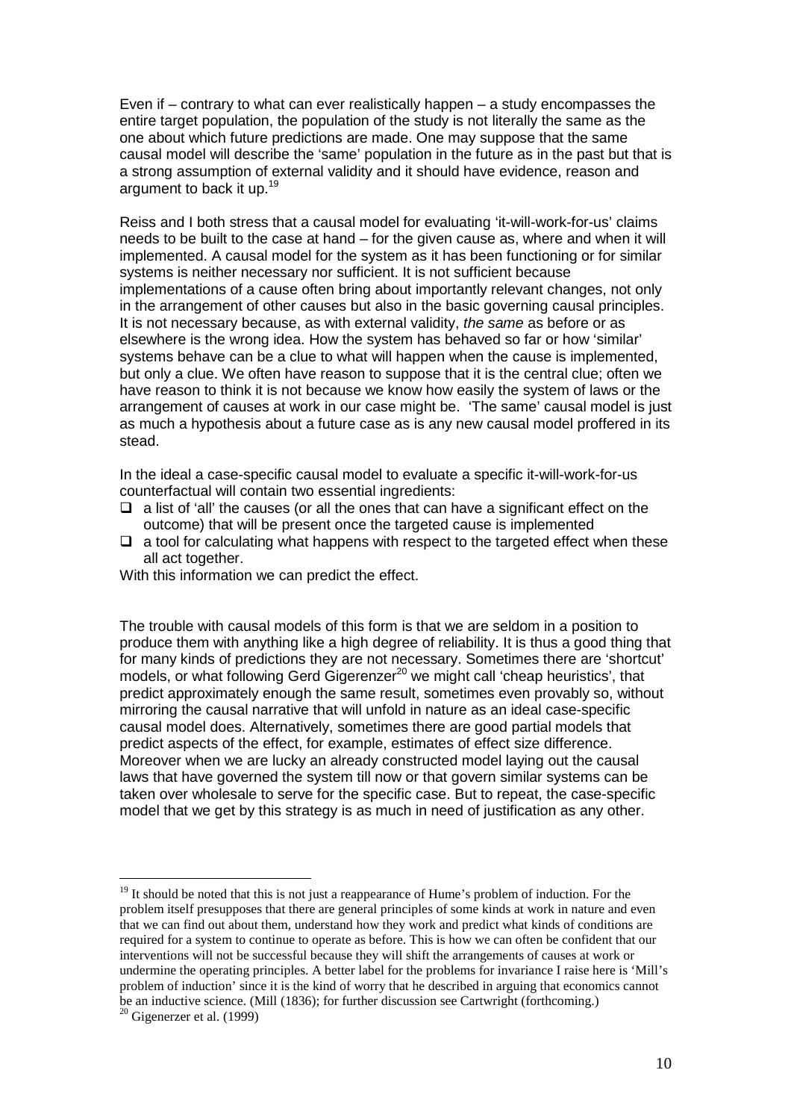Even if – contrary to what can ever realistically happen – a study encompasses the entire target population, the population of the study is not literally the same as the one about which future predictions are made. One may suppose that the same causal model will describe the 'same' population in the future as in the past but that is a strong assumption of external validity and it should have evidence, reason and argument to back it up.<sup>19</sup>

Reiss and I both stress that a causal model for evaluating 'it-will-work-for-us' claims needs to be built to the case at hand – for the given cause as, where and when it will implemented. A causal model for the system as it has been functioning or for similar systems is neither necessary nor sufficient. It is not sufficient because implementations of a cause often bring about importantly relevant changes, not only in the arrangement of other causes but also in the basic governing causal principles. It is not necessary because, as with external validity, the same as before or as elsewhere is the wrong idea. How the system has behaved so far or how 'similar' systems behave can be a clue to what will happen when the cause is implemented, but only a clue. We often have reason to suppose that it is the central clue; often we have reason to think it is not because we know how easily the system of laws or the arrangement of causes at work in our case might be. 'The same' causal model is just as much a hypothesis about a future case as is any new causal model proffered in its stead.

In the ideal a case-specific causal model to evaluate a specific it-will-work-for-us counterfactual will contain two essential ingredients:

- $\Box$  a list of 'all' the causes (or all the ones that can have a significant effect on the outcome) that will be present once the targeted cause is implemented
- $\Box$  a tool for calculating what happens with respect to the targeted effect when these all act together.

With this information we can predict the effect.

The trouble with causal models of this form is that we are seldom in a position to produce them with anything like a high degree of reliability. It is thus a good thing that for many kinds of predictions they are not necessary. Sometimes there are 'shortcut' models, or what following Gerd Gigerenzer $^{20}$  we might call 'cheap heuristics', that predict approximately enough the same result, sometimes even provably so, without mirroring the causal narrative that will unfold in nature as an ideal case-specific causal model does. Alternatively, sometimes there are good partial models that predict aspects of the effect, for example, estimates of effect size difference. Moreover when we are lucky an already constructed model laying out the causal laws that have governed the system till now or that govern similar systems can be taken over wholesale to serve for the specific case. But to repeat, the case-specific model that we get by this strategy is as much in need of justification as any other.

 $19$  It should be noted that this is not just a reappearance of Hume's problem of induction. For the problem itself presupposes that there are general principles of some kinds at work in nature and even that we can find out about them, understand how they work and predict what kinds of conditions are required for a system to continue to operate as before. This is how we can often be confident that our interventions will not be successful because they will shift the arrangements of causes at work or undermine the operating principles. A better label for the problems for invariance I raise here is 'Mill's problem of induction' since it is the kind of worry that he described in arguing that economics cannot be an inductive science. (Mill (1836); for further discussion see Cartwright (forthcoming.)

 $20$  Gigenerzer et al. (1999)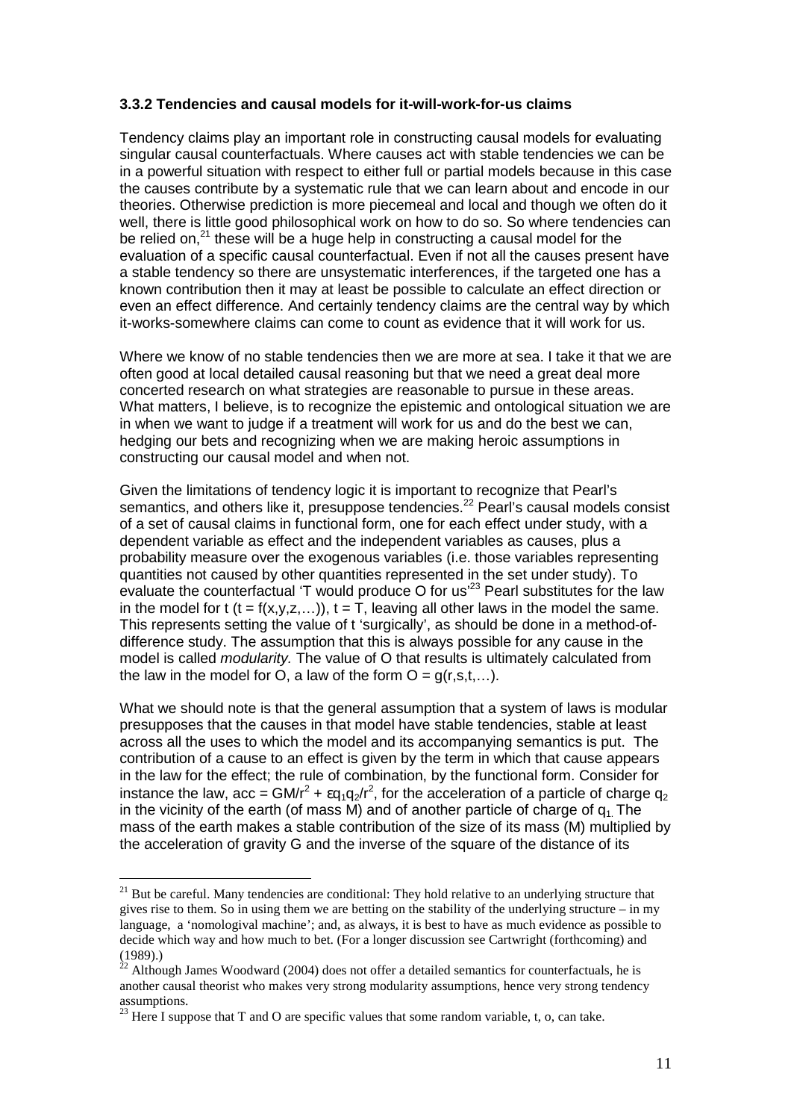#### **3.3.2 Tendencies and causal models for it-will-work-for-us claims**

Tendency claims play an important role in constructing causal models for evaluating singular causal counterfactuals. Where causes act with stable tendencies we can be in a powerful situation with respect to either full or partial models because in this case the causes contribute by a systematic rule that we can learn about and encode in our theories. Otherwise prediction is more piecemeal and local and though we often do it well, there is little good philosophical work on how to do so. So where tendencies can be relied on, $^{21}$  these will be a huge help in constructing a causal model for the evaluation of a specific causal counterfactual. Even if not all the causes present have a stable tendency so there are unsystematic interferences, if the targeted one has a known contribution then it may at least be possible to calculate an effect direction or even an effect difference. And certainly tendency claims are the central way by which it-works-somewhere claims can come to count as evidence that it will work for us.

Where we know of no stable tendencies then we are more at sea. I take it that we are often good at local detailed causal reasoning but that we need a great deal more concerted research on what strategies are reasonable to pursue in these areas. What matters, I believe, is to recognize the epistemic and ontological situation we are in when we want to judge if a treatment will work for us and do the best we can, hedging our bets and recognizing when we are making heroic assumptions in constructing our causal model and when not.

Given the limitations of tendency logic it is important to recognize that Pearl's semantics, and others like it, presuppose tendencies.<sup>22</sup> Pearl's causal models consist of a set of causal claims in functional form, one for each effect under study, with a dependent variable as effect and the independent variables as causes, plus a probability measure over the exogenous variables (i.e. those variables representing quantities not caused by other quantities represented in the set under study). To evaluate the counterfactual 'T would produce O for us<sup>23</sup> Pearl substitutes for the law in the model for t  $(t = f(x,y,z,...))$ ,  $t = T$ , leaving all other laws in the model the same. This represents setting the value of t 'surgically', as should be done in a method-ofdifference study. The assumption that this is always possible for any cause in the model is called modularity. The value of O that results is ultimately calculated from the law in the model for O, a law of the form  $Q = q(r,s,t,...)$ .

What we should note is that the general assumption that a system of laws is modular presupposes that the causes in that model have stable tendencies, stable at least across all the uses to which the model and its accompanying semantics is put. The contribution of a cause to an effect is given by the term in which that cause appears in the law for the effect; the rule of combination, by the functional form. Consider for instance the law, acc = GM/r<sup>2</sup> +  $\epsilon q_1 q_2/r^2$ , for the acceleration of a particle of charge  $q_2$ in the vicinity of the earth (of mass M) and of another particle of charge of  $q_1$ . The mass of the earth makes a stable contribution of the size of its mass (M) multiplied by the acceleration of gravity G and the inverse of the square of the distance of its

 $21$  But be careful. Many tendencies are conditional: They hold relative to an underlying structure that gives rise to them. So in using them we are betting on the stability of the underlying structure – in my language, a 'nomologival machine'; and, as always, it is best to have as much evidence as possible to decide which way and how much to bet. (For a longer discussion see Cartwright (forthcoming) and (1989).)

 $\frac{22}{22}$  Although James Woodward (2004) does not offer a detailed semantics for counterfactuals, he is another causal theorist who makes very strong modularity assumptions, hence very strong tendency assumptions.

<sup>&</sup>lt;sup>23</sup> Here I suppose that T and O are specific values that some random variable, t, o, can take.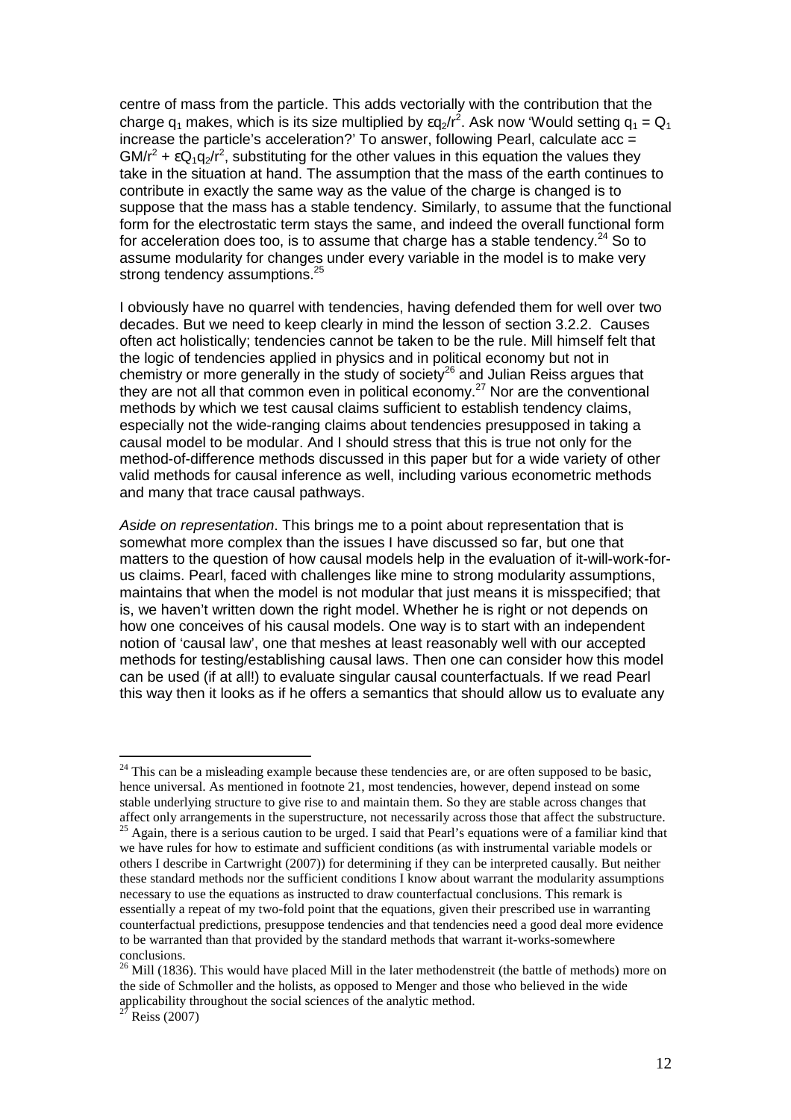centre of mass from the particle. This adds vectorially with the contribution that the charge q<sub>1</sub> makes, which is its size multiplied by  $\epsilon q_2/r^2$ . Ask now 'Would setting  $q_1 = Q_1$ increase the particle's acceleration?' To answer, following Pearl, calculate acc =  $GM/r^2$  +  $\epsilon Q_1q_2/r^2$ , substituting for the other values in this equation the values they take in the situation at hand. The assumption that the mass of the earth continues to contribute in exactly the same way as the value of the charge is changed is to suppose that the mass has a stable tendency. Similarly, to assume that the functional form for the electrostatic term stays the same, and indeed the overall functional form for acceleration does too, is to assume that charge has a stable tendency.<sup>24</sup> So to assume modularity for changes under every variable in the model is to make very strong tendency assumptions.<sup>25</sup>

I obviously have no quarrel with tendencies, having defended them for well over two decades. But we need to keep clearly in mind the lesson of section 3.2.2. Causes often act holistically; tendencies cannot be taken to be the rule. Mill himself felt that the logic of tendencies applied in physics and in political economy but not in chemistry or more generally in the study of society<sup>26</sup> and Julian Reiss argues that they are not all that common even in political economy.<sup>27</sup> Nor are the conventional methods by which we test causal claims sufficient to establish tendency claims, especially not the wide-ranging claims about tendencies presupposed in taking a causal model to be modular. And I should stress that this is true not only for the method-of-difference methods discussed in this paper but for a wide variety of other valid methods for causal inference as well, including various econometric methods and many that trace causal pathways.

Aside on representation. This brings me to a point about representation that is somewhat more complex than the issues I have discussed so far, but one that matters to the question of how causal models help in the evaluation of it-will-work-forus claims. Pearl, faced with challenges like mine to strong modularity assumptions, maintains that when the model is not modular that just means it is misspecified; that is, we haven't written down the right model. Whether he is right or not depends on how one conceives of his causal models. One way is to start with an independent notion of 'causal law', one that meshes at least reasonably well with our accepted methods for testing/establishing causal laws. Then one can consider how this model can be used (if at all!) to evaluate singular causal counterfactuals. If we read Pearl this way then it looks as if he offers a semantics that should allow us to evaluate any

 $24$  This can be a misleading example because these tendencies are, or are often supposed to be basic, hence universal. As mentioned in footnote 21, most tendencies, however, depend instead on some stable underlying structure to give rise to and maintain them. So they are stable across changes that affect only arrangements in the superstructure, not necessarily across those that affect the substructure.

 $^{25}$  Again, there is a serious caution to be urged. I said that Pearl's equations were of a familiar kind that we have rules for how to estimate and sufficient conditions (as with instrumental variable models or others I describe in Cartwright (2007)) for determining if they can be interpreted causally. But neither these standard methods nor the sufficient conditions I know about warrant the modularity assumptions necessary to use the equations as instructed to draw counterfactual conclusions. This remark is essentially a repeat of my two-fold point that the equations, given their prescribed use in warranting counterfactual predictions, presuppose tendencies and that tendencies need a good deal more evidence to be warranted than that provided by the standard methods that warrant it-works-somewhere conclusions.

<sup>&</sup>lt;sup>26</sup> Mill (1836). This would have placed Mill in the later methodenstreit (the battle of methods) more on the side of Schmoller and the holists, as opposed to Menger and those who believed in the wide applicability throughout the social sciences of the analytic method.

 $Res(2007)$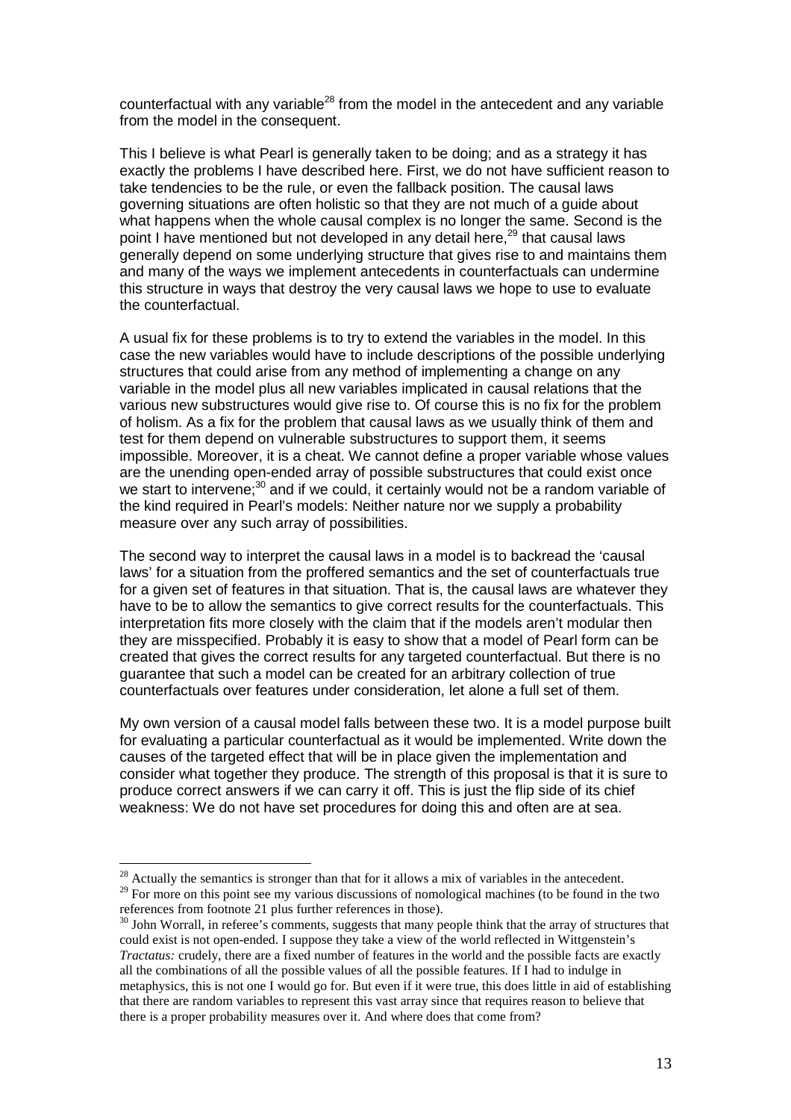counterfactual with any variable $^{28}$  from the model in the antecedent and any variable from the model in the consequent.

This I believe is what Pearl is generally taken to be doing; and as a strategy it has exactly the problems I have described here. First, we do not have sufficient reason to take tendencies to be the rule, or even the fallback position. The causal laws governing situations are often holistic so that they are not much of a guide about what happens when the whole causal complex is no longer the same. Second is the point I have mentioned but not developed in any detail here,<sup>29</sup> that causal laws generally depend on some underlying structure that gives rise to and maintains them and many of the ways we implement antecedents in counterfactuals can undermine this structure in ways that destroy the very causal laws we hope to use to evaluate the counterfactual.

A usual fix for these problems is to try to extend the variables in the model. In this case the new variables would have to include descriptions of the possible underlying structures that could arise from any method of implementing a change on any variable in the model plus all new variables implicated in causal relations that the various new substructures would give rise to. Of course this is no fix for the problem of holism. As a fix for the problem that causal laws as we usually think of them and test for them depend on vulnerable substructures to support them, it seems impossible. Moreover, it is a cheat. We cannot define a proper variable whose values are the unending open-ended array of possible substructures that could exist once we start to intervene;<sup>30</sup> and if we could, it certainly would not be a random variable of the kind required in Pearl's models: Neither nature nor we supply a probability measure over any such array of possibilities.

The second way to interpret the causal laws in a model is to backread the 'causal laws' for a situation from the proffered semantics and the set of counterfactuals true for a given set of features in that situation. That is, the causal laws are whatever they have to be to allow the semantics to give correct results for the counterfactuals. This interpretation fits more closely with the claim that if the models aren't modular then they are misspecified. Probably it is easy to show that a model of Pearl form can be created that gives the correct results for any targeted counterfactual. But there is no guarantee that such a model can be created for an arbitrary collection of true counterfactuals over features under consideration, let alone a full set of them.

My own version of a causal model falls between these two. It is a model purpose built for evaluating a particular counterfactual as it would be implemented. Write down the causes of the targeted effect that will be in place given the implementation and consider what together they produce. The strength of this proposal is that it is sure to produce correct answers if we can carry it off. This is just the flip side of its chief weakness: We do not have set procedures for doing this and often are at sea.

 $2<sup>28</sup>$  Actually the semantics is stronger than that for it allows a mix of variables in the antecedent. <sup>29</sup> For more on this point see my various discussions of nomological machines (to be found in the two references from footnote 21 plus further references in those).

 $30$  John Worrall, in referee's comments, suggests that many people think that the array of structures that could exist is not open-ended. I suppose they take a view of the world reflected in Wittgenstein's *Tractatus:* crudely, there are a fixed number of features in the world and the possible facts are exactly all the combinations of all the possible values of all the possible features. If I had to indulge in metaphysics, this is not one I would go for. But even if it were true, this does little in aid of establishing that there are random variables to represent this vast array since that requires reason to believe that there is a proper probability measures over it. And where does that come from?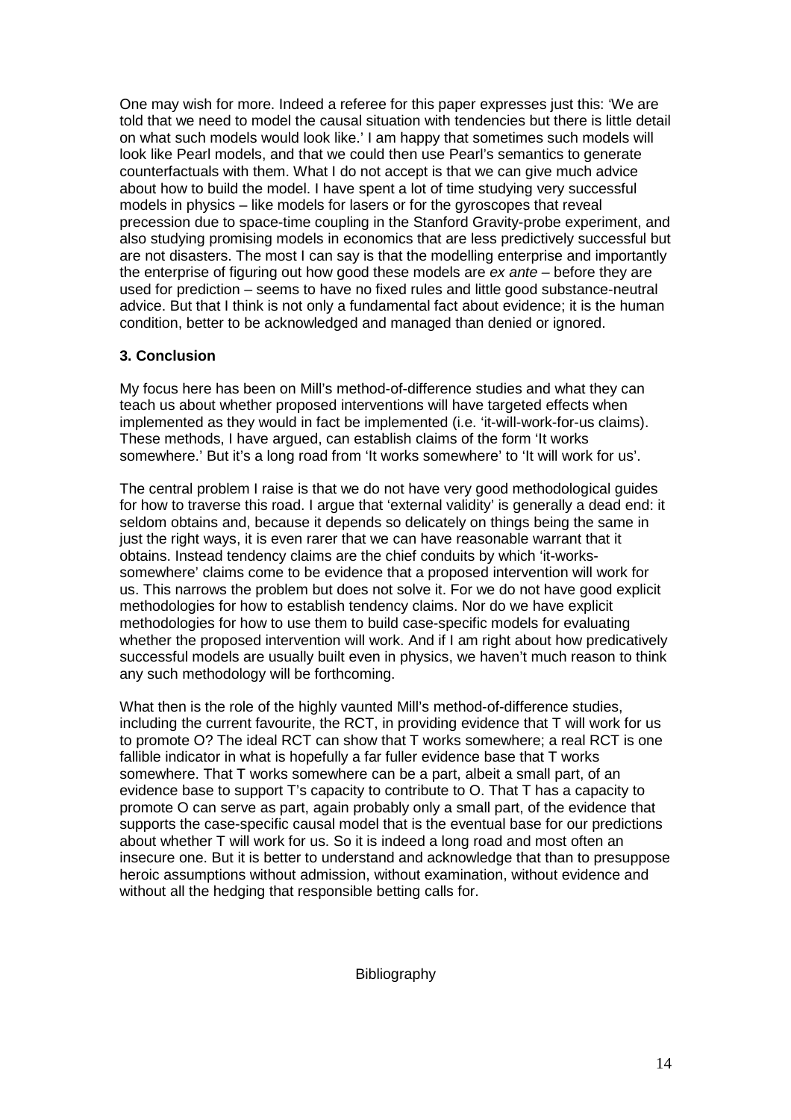One may wish for more. Indeed a referee for this paper expresses just this: 'We are told that we need to model the causal situation with tendencies but there is little detail on what such models would look like.' I am happy that sometimes such models will look like Pearl models, and that we could then use Pearl's semantics to generate counterfactuals with them. What I do not accept is that we can give much advice about how to build the model. I have spent a lot of time studying very successful models in physics – like models for lasers or for the gyroscopes that reveal precession due to space-time coupling in the Stanford Gravity-probe experiment, and also studying promising models in economics that are less predictively successful but are not disasters. The most I can say is that the modelling enterprise and importantly the enterprise of figuring out how good these models are ex ante – before they are used for prediction – seems to have no fixed rules and little good substance-neutral advice. But that I think is not only a fundamental fact about evidence; it is the human condition, better to be acknowledged and managed than denied or ignored.

# **3. Conclusion**

My focus here has been on Mill's method-of-difference studies and what they can teach us about whether proposed interventions will have targeted effects when implemented as they would in fact be implemented (i.e. 'it-will-work-for-us claims). These methods, I have argued, can establish claims of the form 'It works somewhere.' But it's a long road from 'It works somewhere' to 'It will work for us'.

The central problem I raise is that we do not have very good methodological guides for how to traverse this road. I argue that 'external validity' is generally a dead end: it seldom obtains and, because it depends so delicately on things being the same in just the right ways, it is even rarer that we can have reasonable warrant that it obtains. Instead tendency claims are the chief conduits by which 'it-workssomewhere' claims come to be evidence that a proposed intervention will work for us. This narrows the problem but does not solve it. For we do not have good explicit methodologies for how to establish tendency claims. Nor do we have explicit methodologies for how to use them to build case-specific models for evaluating whether the proposed intervention will work. And if I am right about how predicatively successful models are usually built even in physics, we haven't much reason to think any such methodology will be forthcoming.

What then is the role of the highly vaunted Mill's method-of-difference studies, including the current favourite, the RCT, in providing evidence that T will work for us to promote O? The ideal RCT can show that T works somewhere; a real RCT is one fallible indicator in what is hopefully a far fuller evidence base that T works somewhere. That T works somewhere can be a part, albeit a small part, of an evidence base to support T's capacity to contribute to O. That T has a capacity to promote O can serve as part, again probably only a small part, of the evidence that supports the case-specific causal model that is the eventual base for our predictions about whether T will work for us. So it is indeed a long road and most often an insecure one. But it is better to understand and acknowledge that than to presuppose heroic assumptions without admission, without examination, without evidence and without all the hedging that responsible betting calls for.

Bibliography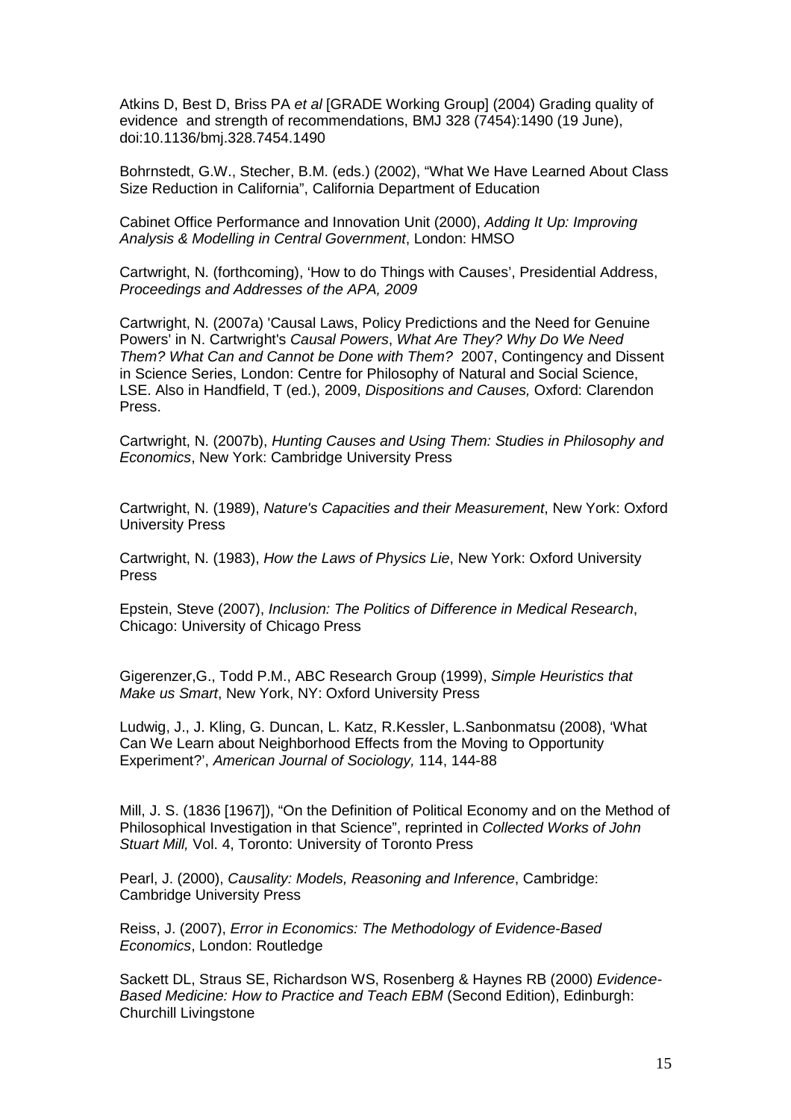Atkins D, Best D, Briss PA et al [GRADE Working Group] (2004) Grading quality of evidence and strength of recommendations, BMJ 328 (7454):1490 (19 June), doi:10.1136/bmj.328.7454.1490

Bohrnstedt, G.W., Stecher, B.M. (eds.) (2002), "What We Have Learned About Class Size Reduction in California", California Department of Education

Cabinet Office Performance and Innovation Unit (2000), Adding It Up: Improving Analysis & Modelling in Central Government, London: HMSO

Cartwright, N. (forthcoming), 'How to do Things with Causes', Presidential Address, Proceedings and Addresses of the APA, 2009

Cartwright, N. (2007a) 'Causal Laws, Policy Predictions and the Need for Genuine Powers' in N. Cartwright's Causal Powers, What Are They? Why Do We Need Them? What Can and Cannot be Done with Them? 2007, Contingency and Dissent in Science Series, London: Centre for Philosophy of Natural and Social Science, LSE. Also in Handfield, T (ed.), 2009, Dispositions and Causes, Oxford: Clarendon Press.

Cartwright, N. (2007b), Hunting Causes and Using Them: Studies in Philosophy and Economics, New York: Cambridge University Press

Cartwright, N. (1989), Nature's Capacities and their Measurement, New York: Oxford University Press

Cartwright, N. (1983), How the Laws of Physics Lie, New York: Oxford University Press

Epstein, Steve (2007), Inclusion: The Politics of Difference in Medical Research, Chicago: University of Chicago Press

Gigerenzer,G., Todd P.M., ABC Research Group (1999), Simple Heuristics that Make us Smart, New York, NY: Oxford University Press

Ludwig, J., J. Kling, G. Duncan, L. Katz, R.Kessler, L.Sanbonmatsu (2008), 'What Can We Learn about Neighborhood Effects from the Moving to Opportunity Experiment?', American Journal of Sociology, 114, 144-88

Mill, J. S. (1836 [1967]), "On the Definition of Political Economy and on the Method of Philosophical Investigation in that Science", reprinted in Collected Works of John Stuart Mill, Vol. 4, Toronto: University of Toronto Press

Pearl, J. (2000), Causality: Models, Reasoning and Inference, Cambridge: Cambridge University Press

Reiss, J. (2007), Error in Economics: The Methodology of Evidence-Based Economics, London: Routledge

Sackett DL, Straus SE, Richardson WS, Rosenberg & Haynes RB (2000) Evidence-Based Medicine: How to Practice and Teach EBM (Second Edition), Edinburgh: Churchill Livingstone